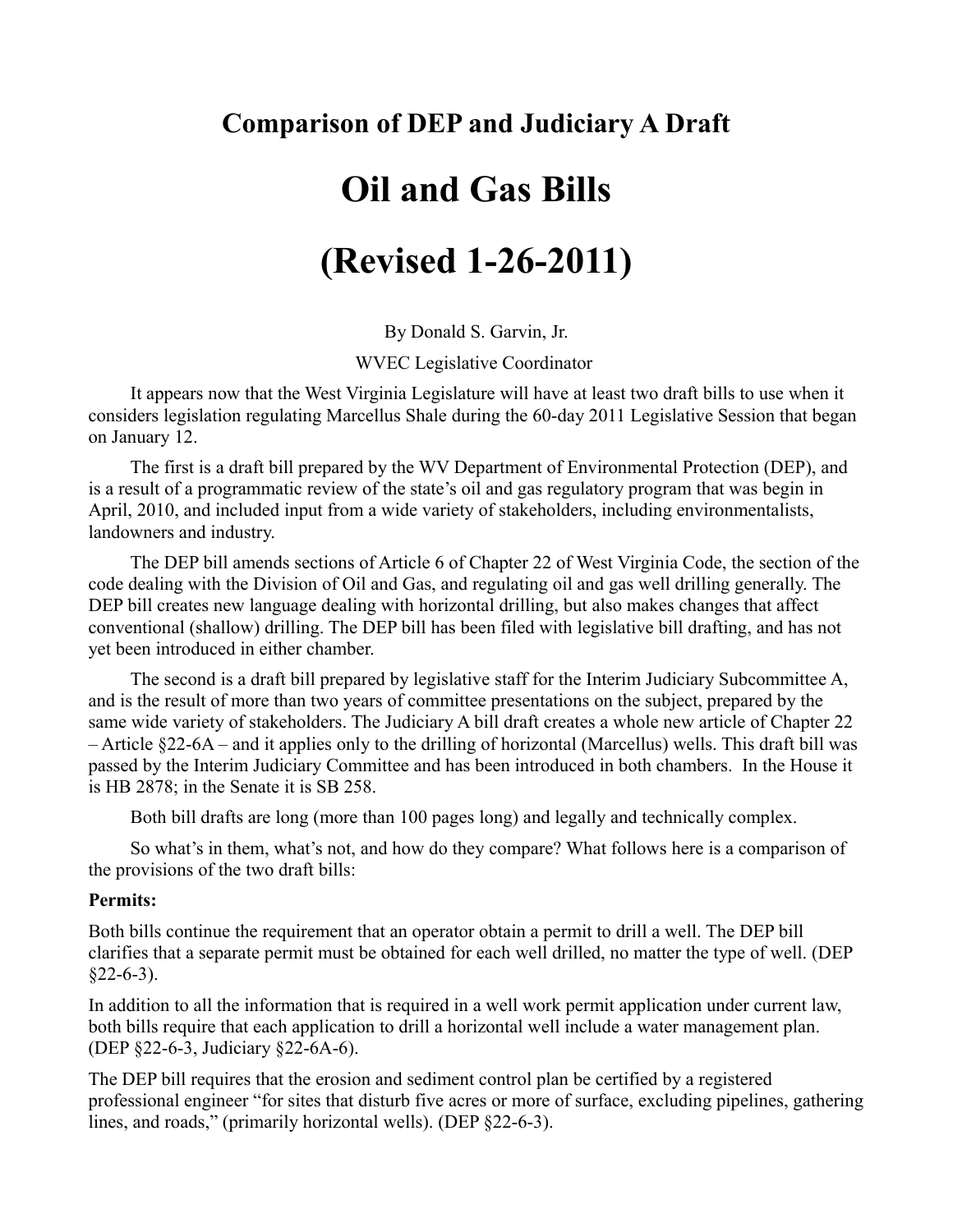## **Comparison of DEP and Judiciary A Draft**

# **Oil and Gas Bills**

# **(Revised 1-26-2011)**

By Donald S. Garvin, Jr.

WVEC Legislative Coordinator

It appears now that the West Virginia Legislature will have at least two draft bills to use when it considers legislation regulating Marcellus Shale during the 60-day 2011 Legislative Session that began on January 12.

The first is a draft bill prepared by the WV Department of Environmental Protection (DEP), and is a result of a programmatic review of the state's oil and gas regulatory program that was begin in April, 2010, and included input from a wide variety of stakeholders, including environmentalists, landowners and industry.

The DEP bill amends sections of Article 6 of Chapter 22 of West Virginia Code, the section of the code dealing with the Division of Oil and Gas, and regulating oil and gas well drilling generally. The DEP bill creates new language dealing with horizontal drilling, but also makes changes that affect conventional (shallow) drilling. The DEP bill has been filed with legislative bill drafting, and has not yet been introduced in either chamber.

The second is a draft bill prepared by legislative staff for the Interim Judiciary Subcommittee A, and is the result of more than two years of committee presentations on the subject, prepared by the same wide variety of stakeholders. The Judiciary A bill draft creates a whole new article of Chapter 22 – Article §22-6A – and it applies only to the drilling of horizontal (Marcellus) wells. This draft bill was passed by the Interim Judiciary Committee and has been introduced in both chambers. In the House it is HB 2878; in the Senate it is SB 258.

Both bill drafts are long (more than 100 pages long) and legally and technically complex.

So what's in them, what's not, and how do they compare? What follows here is a comparison of the provisions of the two draft bills:

#### **Permits:**

Both bills continue the requirement that an operator obtain a permit to drill a well. The DEP bill clarifies that a separate permit must be obtained for each well drilled, no matter the type of well. (DEP  $§22-6-3$ ).

In addition to all the information that is required in a well work permit application under current law, both bills require that each application to drill a horizontal well include a water management plan. (DEP §22-6-3, Judiciary §22-6A-6).

The DEP bill requires that the erosion and sediment control plan be certified by a registered professional engineer "for sites that disturb five acres or more of surface, excluding pipelines, gathering lines, and roads," (primarily horizontal wells). (DEP §22-6-3).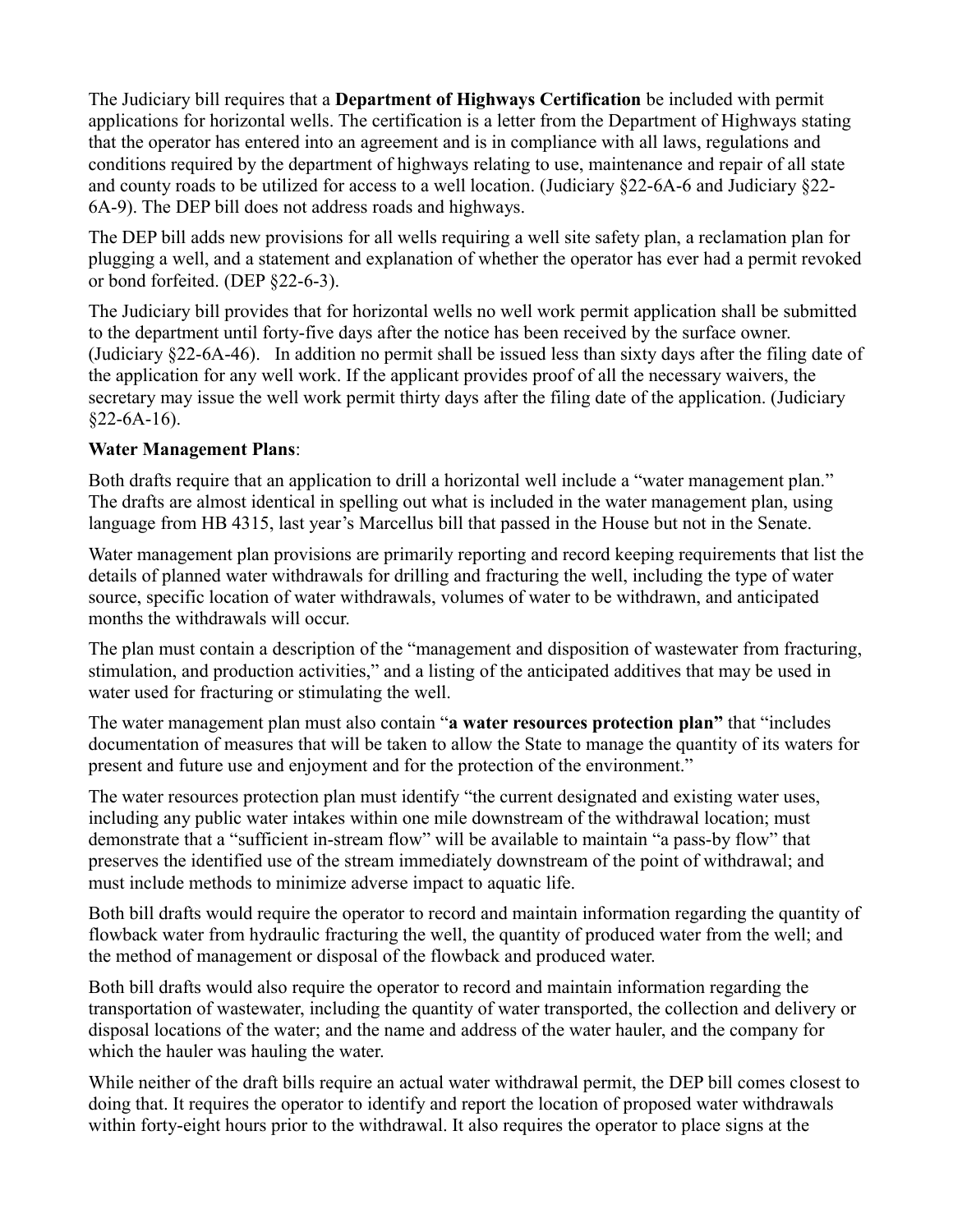The Judiciary bill requires that a **Department of Highways Certification** be included with permit applications for horizontal wells. The certification is a letter from the Department of Highways stating that the operator has entered into an agreement and is in compliance with all laws, regulations and conditions required by the department of highways relating to use, maintenance and repair of all state and county roads to be utilized for access to a well location. (Judiciary §22-6A-6 and Judiciary §22- 6A-9). The DEP bill does not address roads and highways.

The DEP bill adds new provisions for all wells requiring a well site safety plan, a reclamation plan for plugging a well, and a statement and explanation of whether the operator has ever had a permit revoked or bond forfeited. (DEP §22-6-3).

The Judiciary bill provides that for horizontal wells no well work permit application shall be submitted to the department until forty-five days after the notice has been received by the surface owner. (Judiciary §22-6A-46). In addition no permit shall be issued less than sixty days after the filing date of the application for any well work. If the applicant provides proof of all the necessary waivers, the secretary may issue the well work permit thirty days after the filing date of the application. (Judiciary  $§22-6A-16$ ).

#### **Water Management Plans**:

Both drafts require that an application to drill a horizontal well include a "water management plan." The drafts are almost identical in spelling out what is included in the water management plan, using language from HB 4315, last year's Marcellus bill that passed in the House but not in the Senate.

Water management plan provisions are primarily reporting and record keeping requirements that list the details of planned water withdrawals for drilling and fracturing the well, including the type of water source, specific location of water withdrawals, volumes of water to be withdrawn, and anticipated months the withdrawals will occur.

The plan must contain a description of the "management and disposition of wastewater from fracturing, stimulation, and production activities," and a listing of the anticipated additives that may be used in water used for fracturing or stimulating the well.

The water management plan must also contain "**a water resources protection plan"** that "includes documentation of measures that will be taken to allow the State to manage the quantity of its waters for present and future use and enjoyment and for the protection of the environment."

The water resources protection plan must identify "the current designated and existing water uses, including any public water intakes within one mile downstream of the withdrawal location; must demonstrate that a "sufficient in-stream flow" will be available to maintain "a pass-by flow" that preserves the identified use of the stream immediately downstream of the point of withdrawal; and must include methods to minimize adverse impact to aquatic life.

Both bill drafts would require the operator to record and maintain information regarding the quantity of flowback water from hydraulic fracturing the well, the quantity of produced water from the well; and the method of management or disposal of the flowback and produced water.

Both bill drafts would also require the operator to record and maintain information regarding the transportation of wastewater, including the quantity of water transported, the collection and delivery or disposal locations of the water; and the name and address of the water hauler, and the company for which the hauler was hauling the water.

While neither of the draft bills require an actual water withdrawal permit, the DEP bill comes closest to doing that. It requires the operator to identify and report the location of proposed water withdrawals within forty-eight hours prior to the withdrawal. It also requires the operator to place signs at the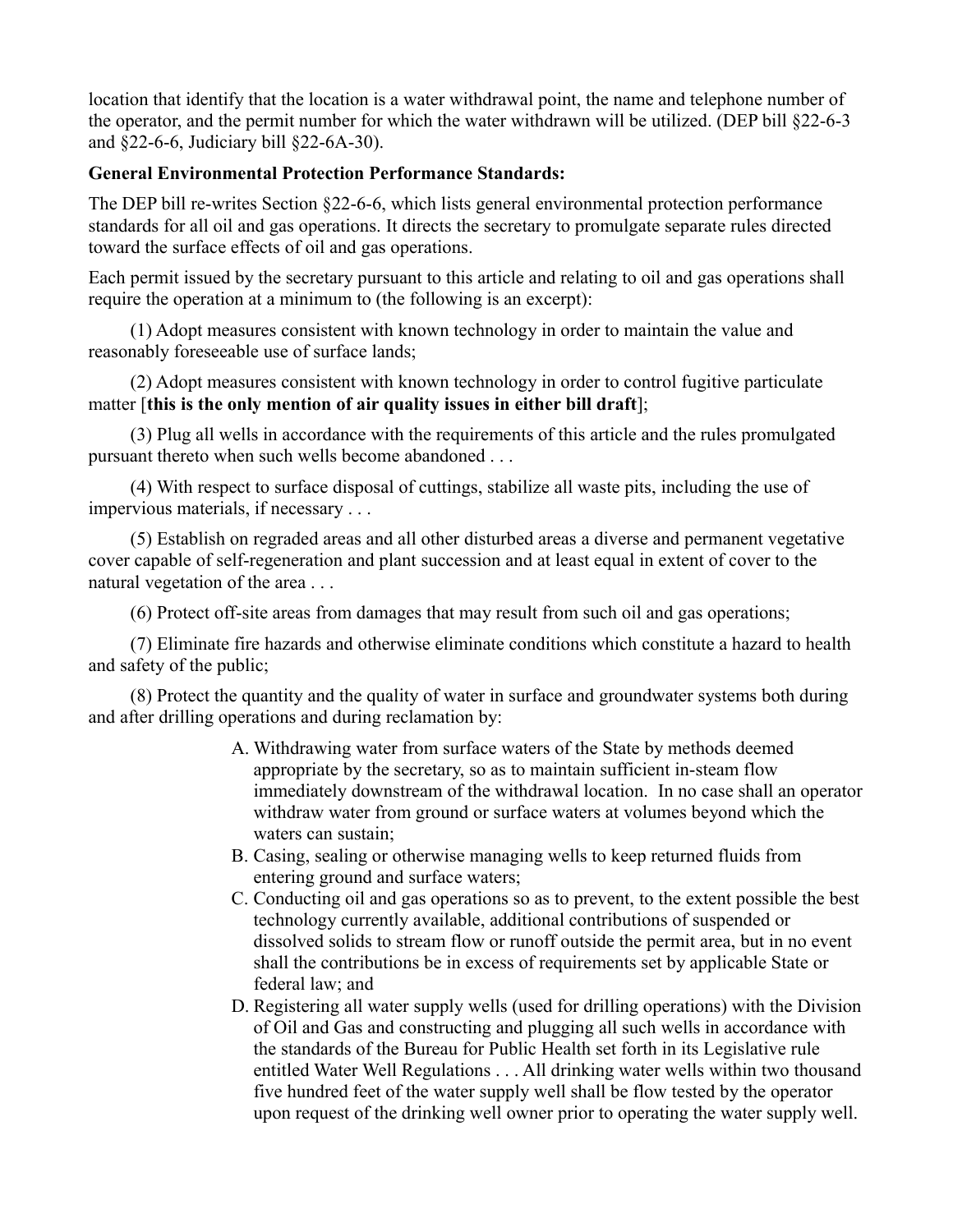location that identify that the location is a water withdrawal point, the name and telephone number of the operator, and the permit number for which the water withdrawn will be utilized. (DEP bill §22-6-3 and §22-6-6, Judiciary bill §22-6A-30).

#### **General Environmental Protection Performance Standards:**

The DEP bill re-writes Section §22-6-6, which lists general environmental protection performance standards for all oil and gas operations. It directs the secretary to promulgate separate rules directed toward the surface effects of oil and gas operations.

Each permit issued by the secretary pursuant to this article and relating to oil and gas operations shall require the operation at a minimum to (the following is an excerpt):

(1) Adopt measures consistent with known technology in order to maintain the value and reasonably foreseeable use of surface lands;

(2) Adopt measures consistent with known technology in order to control fugitive particulate matter [**this is the only mention of air quality issues in either bill draft**];

(3) Plug all wells in accordance with the requirements of this article and the rules promulgated pursuant thereto when such wells become abandoned . . .

(4) With respect to surface disposal of cuttings, stabilize all waste pits, including the use of impervious materials, if necessary . . .

(5) Establish on regraded areas and all other disturbed areas a diverse and permanent vegetative cover capable of self-regeneration and plant succession and at least equal in extent of cover to the natural vegetation of the area . . .

(6) Protect off-site areas from damages that may result from such oil and gas operations;

(7) Eliminate fire hazards and otherwise eliminate conditions which constitute a hazard to health and safety of the public;

(8) Protect the quantity and the quality of water in surface and groundwater systems both during and after drilling operations and during reclamation by:

- A. Withdrawing water from surface waters of the State by methods deemed appropriate by the secretary, so as to maintain sufficient in-steam flow immediately downstream of the withdrawal location. In no case shall an operator withdraw water from ground or surface waters at volumes beyond which the waters can sustain;
- B. Casing, sealing or otherwise managing wells to keep returned fluids from entering ground and surface waters;
- C. Conducting oil and gas operations so as to prevent, to the extent possible the best technology currently available, additional contributions of suspended or dissolved solids to stream flow or runoff outside the permit area, but in no event shall the contributions be in excess of requirements set by applicable State or federal law; and
- D. Registering all water supply wells (used for drilling operations) with the Division of Oil and Gas and constructing and plugging all such wells in accordance with the standards of the Bureau for Public Health set forth in its Legislative rule entitled Water Well Regulations . . . All drinking water wells within two thousand five hundred feet of the water supply well shall be flow tested by the operator upon request of the drinking well owner prior to operating the water supply well.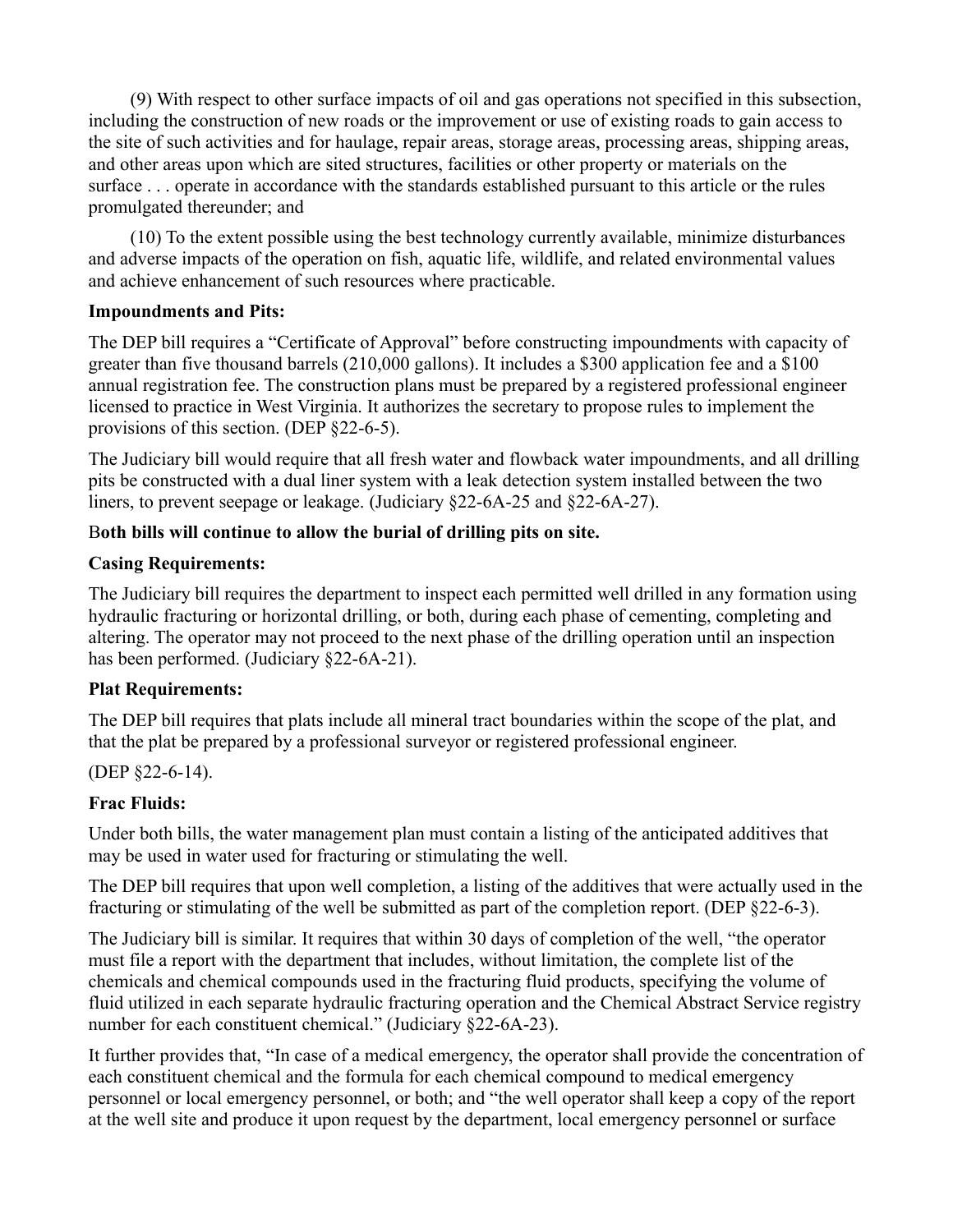(9) With respect to other surface impacts of oil and gas operations not specified in this subsection, including the construction of new roads or the improvement or use of existing roads to gain access to the site of such activities and for haulage, repair areas, storage areas, processing areas, shipping areas, and other areas upon which are sited structures, facilities or other property or materials on the surface . . . operate in accordance with the standards established pursuant to this article or the rules promulgated thereunder; and

(10) To the extent possible using the best technology currently available, minimize disturbances and adverse impacts of the operation on fish, aquatic life, wildlife, and related environmental values and achieve enhancement of such resources where practicable.

#### **Impoundments and Pits:**

The DEP bill requires a "Certificate of Approval" before constructing impoundments with capacity of greater than five thousand barrels (210,000 gallons). It includes a \$300 application fee and a \$100 annual registration fee. The construction plans must be prepared by a registered professional engineer licensed to practice in West Virginia. It authorizes the secretary to propose rules to implement the provisions of this section. (DEP §22-6-5).

The Judiciary bill would require that all fresh water and flowback water impoundments, and all drilling pits be constructed with a dual liner system with a leak detection system installed between the two liners, to prevent seepage or leakage. (Judiciary §22-6A-25 and §22-6A-27).

#### B**oth bills will continue to allow the burial of drilling pits on site.**

#### **Casing Requirements:**

The Judiciary bill requires the department to inspect each permitted well drilled in any formation using hydraulic fracturing or horizontal drilling, or both, during each phase of cementing, completing and altering. The operator may not proceed to the next phase of the drilling operation until an inspection has been performed. (Judiciary §22-6A-21).

#### **Plat Requirements:**

The DEP bill requires that plats include all mineral tract boundaries within the scope of the plat, and that the plat be prepared by a professional surveyor or registered professional engineer.

#### (DEP §22-6-14).

#### **Frac Fluids:**

Under both bills, the water management plan must contain a listing of the anticipated additives that may be used in water used for fracturing or stimulating the well.

The DEP bill requires that upon well completion, a listing of the additives that were actually used in the fracturing or stimulating of the well be submitted as part of the completion report. (DEP §22-6-3).

The Judiciary bill is similar. It requires that within 30 days of completion of the well, "the operator must file a report with the department that includes, without limitation, the complete list of the chemicals and chemical compounds used in the fracturing fluid products, specifying the volume of fluid utilized in each separate hydraulic fracturing operation and the Chemical Abstract Service registry number for each constituent chemical." (Judiciary §22-6A-23).

It further provides that, "In case of a medical emergency, the operator shall provide the concentration of each constituent chemical and the formula for each chemical compound to medical emergency personnel or local emergency personnel, or both; and "the well operator shall keep a copy of the report at the well site and produce it upon request by the department, local emergency personnel or surface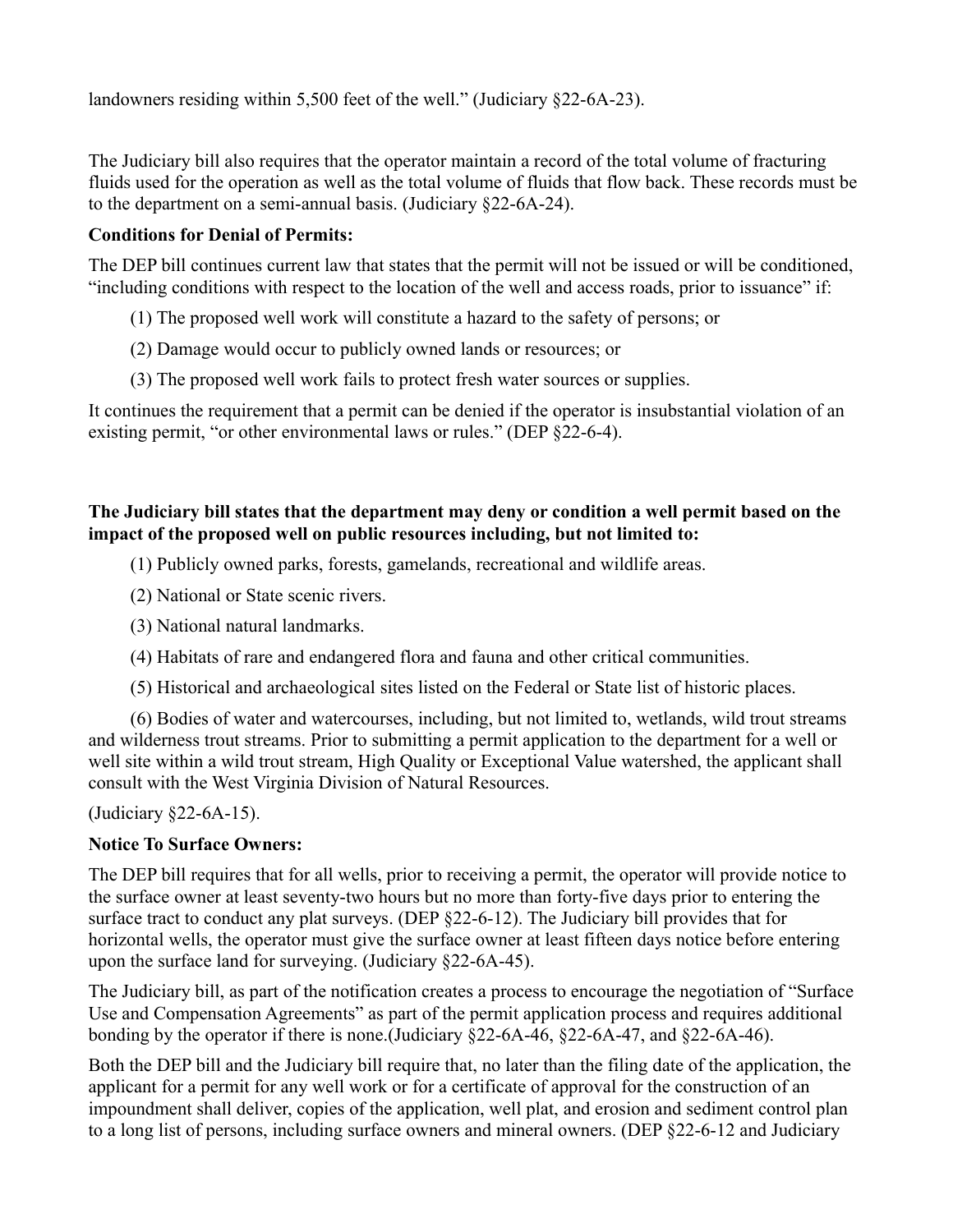landowners residing within 5,500 feet of the well." (Judiciary §22-6A-23).

The Judiciary bill also requires that the operator maintain a record of the total volume of fracturing fluids used for the operation as well as the total volume of fluids that flow back. These records must be to the department on a semi-annual basis. (Judiciary §22-6A-24).

#### **Conditions for Denial of Permits:**

The DEP bill continues current law that states that the permit will not be issued or will be conditioned, "including conditions with respect to the location of the well and access roads, prior to issuance" if:

(1) The proposed well work will constitute a hazard to the safety of persons; or

(2) Damage would occur to publicly owned lands or resources; or

(3) The proposed well work fails to protect fresh water sources or supplies.

It continues the requirement that a permit can be denied if the operator is insubstantial violation of an existing permit, "or other environmental laws or rules." (DEP §22-6-4).

#### **The Judiciary bill states that the department may deny or condition a well permit based on the impact of the proposed well on public resources including, but not limited to:**

(1) Publicly owned parks, forests, gamelands, recreational and wildlife areas.

- (2) National or State scenic rivers.
- (3) National natural landmarks.
- (4) Habitats of rare and endangered flora and fauna and other critical communities.
- (5) Historical and archaeological sites listed on the Federal or State list of historic places.

(6) Bodies of water and watercourses, including, but not limited to, wetlands, wild trout streams and wilderness trout streams. Prior to submitting a permit application to the department for a well or well site within a wild trout stream, High Quality or Exceptional Value watershed, the applicant shall consult with the West Virginia Division of Natural Resources.

(Judiciary §22-6A-15).

#### **Notice To Surface Owners:**

The DEP bill requires that for all wells, prior to receiving a permit, the operator will provide notice to the surface owner at least seventy-two hours but no more than forty-five days prior to entering the surface tract to conduct any plat surveys. (DEP §22-6-12). The Judiciary bill provides that for horizontal wells, the operator must give the surface owner at least fifteen days notice before entering upon the surface land for surveying. (Judiciary §22-6A-45).

The Judiciary bill, as part of the notification creates a process to encourage the negotiation of "Surface Use and Compensation Agreements" as part of the permit application process and requires additional bonding by the operator if there is none.(Judiciary §22-6A-46, §22-6A-47, and §22-6A-46).

Both the DEP bill and the Judiciary bill require that, no later than the filing date of the application, the applicant for a permit for any well work or for a certificate of approval for the construction of an impoundment shall deliver, copies of the application, well plat, and erosion and sediment control plan to a long list of persons, including surface owners and mineral owners. (DEP §22-6-12 and Judiciary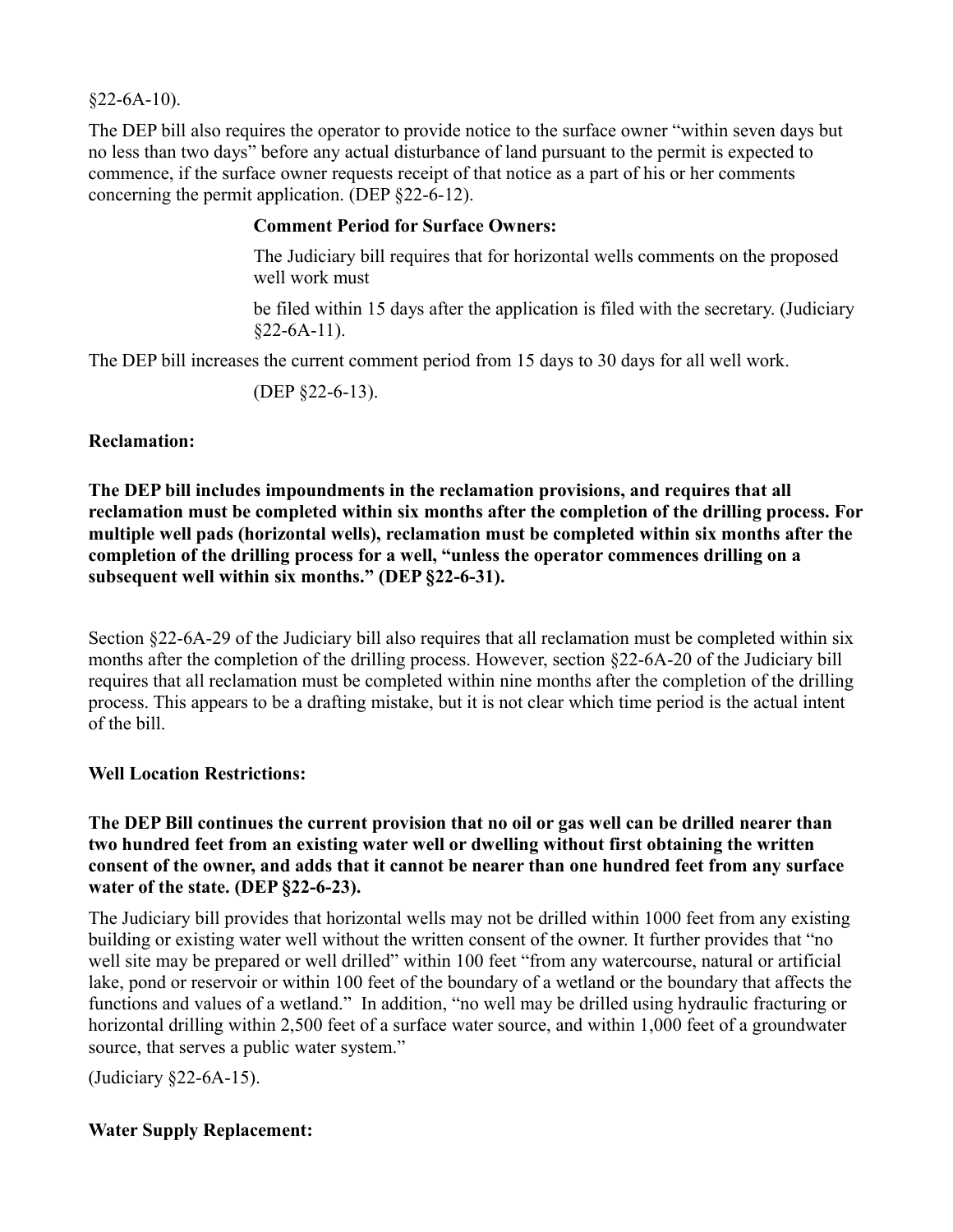$§22-6A-10$ ).

The DEP bill also requires the operator to provide notice to the surface owner "within seven days but no less than two days" before any actual disturbance of land pursuant to the permit is expected to commence, if the surface owner requests receipt of that notice as a part of his or her comments concerning the permit application. (DEP §22-6-12).

#### **Comment Period for Surface Owners:**

The Judiciary bill requires that for horizontal wells comments on the proposed well work must

be filed within 15 days after the application is filed with the secretary. (Judiciary  $§22-6A-11$ .

The DEP bill increases the current comment period from 15 days to 30 days for all well work.

(DEP §22-6-13).

#### **Reclamation:**

**The DEP bill includes impoundments in the reclamation provisions, and requires that all reclamation must be completed within six months after the completion of the drilling process. For multiple well pads (horizontal wells), reclamation must be completed within six months after the completion of the drilling process for a well, "unless the operator commences drilling on a subsequent well within six months." (DEP §22-6-31).**

Section §22-6A-29 of the Judiciary bill also requires that all reclamation must be completed within six months after the completion of the drilling process. However, section §22-6A-20 of the Judiciary bill requires that all reclamation must be completed within nine months after the completion of the drilling process. This appears to be a drafting mistake, but it is not clear which time period is the actual intent of the bill.

#### **Well Location Restrictions:**

**The DEP Bill continues the current provision that no oil or gas well can be drilled nearer than two hundred feet from an existing water well or dwelling without first obtaining the written consent of the owner, and adds that it cannot be nearer than one hundred feet from any surface water of the state. (DEP §22-6-23).**

The Judiciary bill provides that horizontal wells may not be drilled within 1000 feet from any existing building or existing water well without the written consent of the owner. It further provides that "no well site may be prepared or well drilled" within 100 feet "from any watercourse, natural or artificial lake, pond or reservoir or within 100 feet of the boundary of a wetland or the boundary that affects the functions and values of a wetland." In addition, "no well may be drilled using hydraulic fracturing or horizontal drilling within 2,500 feet of a surface water source, and within 1,000 feet of a groundwater source, that serves a public water system."

(Judiciary §22-6A-15).

#### **Water Supply Replacement:**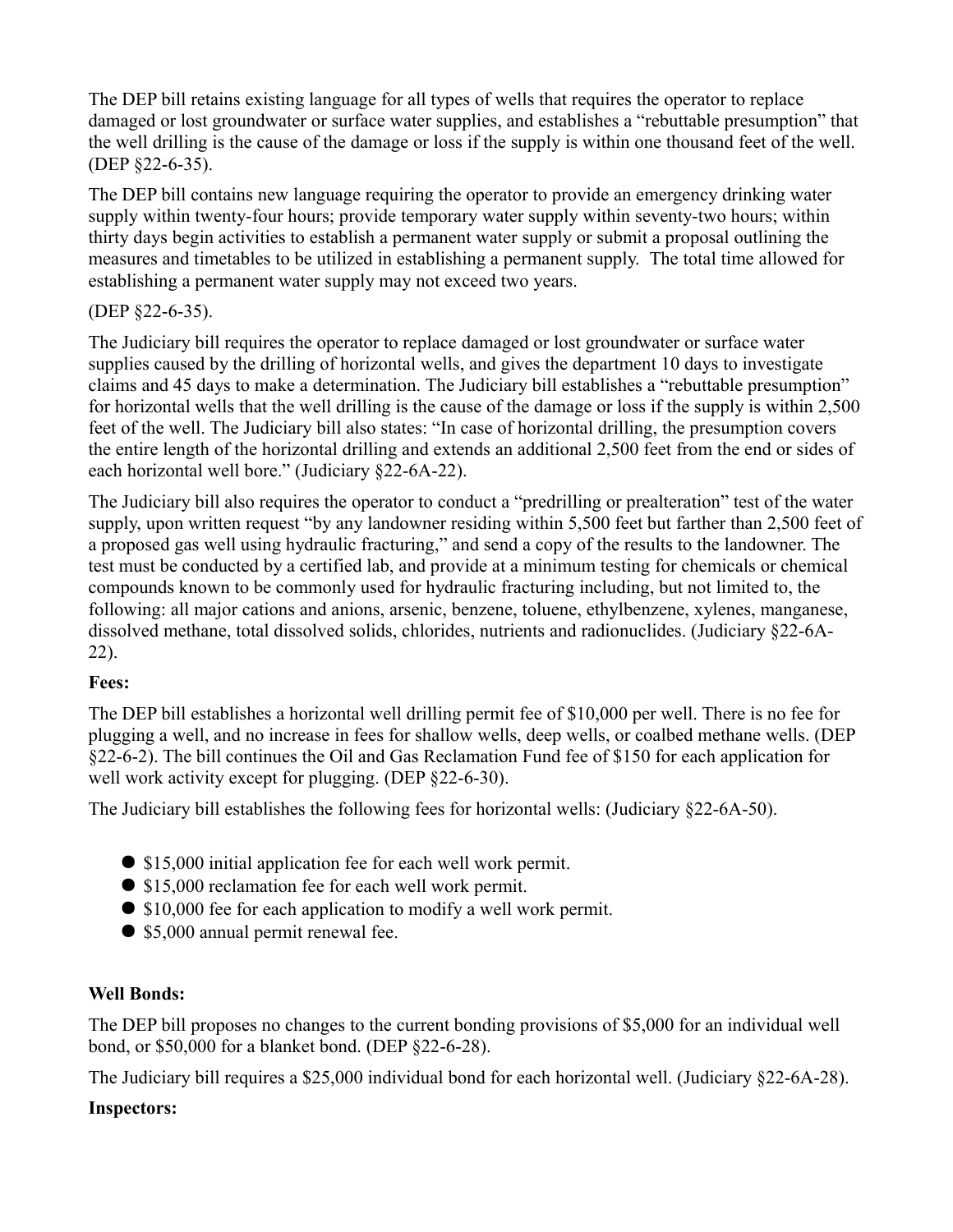The DEP bill retains existing language for all types of wells that requires the operator to replace damaged or lost groundwater or surface water supplies, and establishes a "rebuttable presumption" that the well drilling is the cause of the damage or loss if the supply is within one thousand feet of the well. (DEP §22-6-35).

The DEP bill contains new language requiring the operator to provide an emergency drinking water supply within twenty-four hours; provide temporary water supply within seventy-two hours; within thirty days begin activities to establish a permanent water supply or submit a proposal outlining the measures and timetables to be utilized in establishing a permanent supply. The total time allowed for establishing a permanent water supply may not exceed two years.

#### (DEP §22-6-35).

The Judiciary bill requires the operator to replace damaged or lost groundwater or surface water supplies caused by the drilling of horizontal wells, and gives the department 10 days to investigate claims and 45 days to make a determination. The Judiciary bill establishes a "rebuttable presumption" for horizontal wells that the well drilling is the cause of the damage or loss if the supply is within 2,500 feet of the well. The Judiciary bill also states: "In case of horizontal drilling, the presumption covers the entire length of the horizontal drilling and extends an additional 2,500 feet from the end or sides of each horizontal well bore." (Judiciary §22-6A-22).

The Judiciary bill also requires the operator to conduct a "predrilling or prealteration" test of the water supply, upon written request "by any landowner residing within 5,500 feet but farther than 2,500 feet of a proposed gas well using hydraulic fracturing," and send a copy of the results to the landowner. The test must be conducted by a certified lab, and provide at a minimum testing for chemicals or chemical compounds known to be commonly used for hydraulic fracturing including, but not limited to, the following: all major cations and anions, arsenic, benzene, toluene, ethylbenzene, xylenes, manganese, dissolved methane, total dissolved solids, chlorides, nutrients and radionuclides. (Judiciary §22-6A-22).

#### **Fees:**

The DEP bill establishes a horizontal well drilling permit fee of \$10,000 per well. There is no fee for plugging a well, and no increase in fees for shallow wells, deep wells, or coalbed methane wells. (DEP §22-6-2). The bill continues the Oil and Gas Reclamation Fund fee of \$150 for each application for well work activity except for plugging. (DEP §22-6-30).

The Judiciary bill establishes the following fees for horizontal wells: (Judiciary §22-6A-50).

- \$15,000 initial application fee for each well work permit.
- \$15,000 reclamation fee for each well work permit.
- \$10,000 fee for each application to modify a well work permit.
- \$5,000 annual permit renewal fee.

### **Well Bonds:**

The DEP bill proposes no changes to the current bonding provisions of \$5,000 for an individual well bond, or \$50,000 for a blanket bond. (DEP §22-6-28).

The Judiciary bill requires a \$25,000 individual bond for each horizontal well. (Judiciary §22-6A-28).

### **Inspectors:**